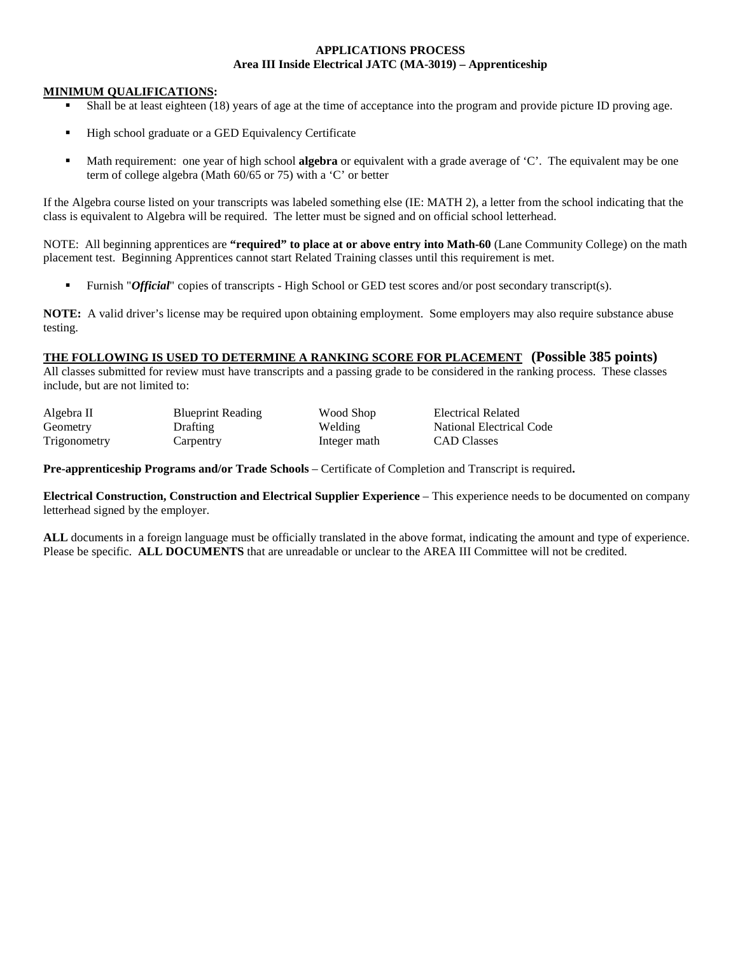#### **APPLICATIONS PROCESS Area III Inside Electrical JATC (MA-3019) – Apprenticeship**

#### **MINIMUM QUALIFICATIONS:**

- Shall be at least eighteen (18) years of age at the time of acceptance into the program and provide picture ID proving age.
- High school graduate or a GED Equivalency Certificate
- Math requirement: one year of high school **algebra** or equivalent with a grade average of 'C'. The equivalent may be one term of college algebra (Math 60/65 or 75) with a 'C' or better

If the Algebra course listed on your transcripts was labeled something else (IE: MATH 2), a letter from the school indicating that the class is equivalent to Algebra will be required. The letter must be signed and on official school letterhead.

NOTE: All beginning apprentices are **"required" to place at or above entry into Math-60** (Lane Community College) on the math placement test. Beginning Apprentices cannot start Related Training classes until this requirement is met.

Furnish "*Official*" copies of transcripts - High School or GED test scores and/or post secondary transcript(s).

**NOTE:** A valid driver's license may be required upon obtaining employment. Some employers may also require substance abuse testing.

#### **THE FOLLOWING IS USED TO DETERMINE A RANKING SCORE FOR PLACEMENT (Possible 385 points)**

Integer math

All classes submitted for review must have transcripts and a passing grade to be considered in the ranking process. These classes include, but are not limited to:

| Algebra II   | <b>Blueprint</b> F |  |  |
|--------------|--------------------|--|--|
| Geometry     | <b>Drafting</b>    |  |  |
| Trigonometry | Carpentry          |  |  |

Reading Wood Shop Electrical Related Welding **National Electrical Code**<br>
The CAD Classes

**Pre-apprenticeship Programs and/or Trade Schools** – Certificate of Completion and Transcript is required**.** 

**Electrical Construction, Construction and Electrical Supplier Experience** – This experience needs to be documented on company letterhead signed by the employer.

**ALL** documents in a foreign language must be officially translated in the above format, indicating the amount and type of experience. Please be specific. **ALL DOCUMENTS** that are unreadable or unclear to the AREA III Committee will not be credited.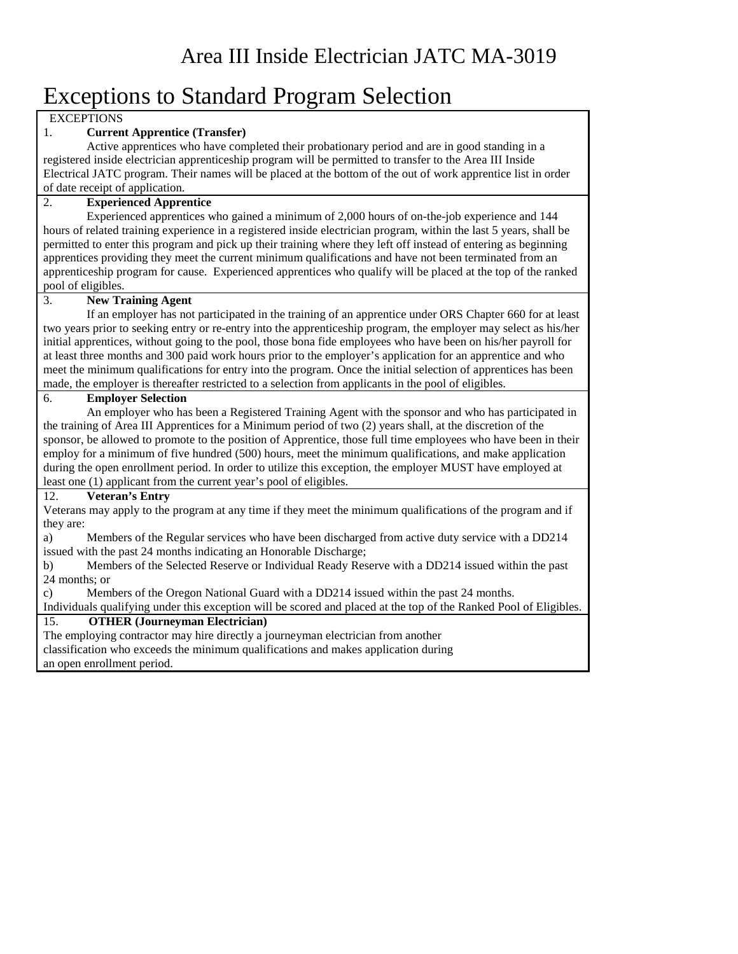# Exceptions to Standard Program Selection

**EXCEPTIONS** 

## 1. **Current Apprentice (Transfer)**

Active apprentices who have completed their probationary period and are in good standing in a registered inside electrician apprenticeship program will be permitted to transfer to the Area III Inside Electrical JATC program. Their names will be placed at the bottom of the out of work apprentice list in order of date receipt of application.

#### 2. **Experienced Apprentice**

Experienced apprentices who gained a minimum of 2,000 hours of on-the-job experience and 144 hours of related training experience in a registered inside electrician program, within the last 5 years, shall be permitted to enter this program and pick up their training where they left off instead of entering as beginning apprentices providing they meet the current minimum qualifications and have not been terminated from an apprenticeship program for cause. Experienced apprentices who qualify will be placed at the top of the ranked pool of eligibles.

## 3. **New Training Agent**

If an employer has not participated in the training of an apprentice under ORS Chapter 660 for at least two years prior to seeking entry or re-entry into the apprenticeship program, the employer may select as his/her initial apprentices, without going to the pool, those bona fide employees who have been on his/her payroll for at least three months and 300 paid work hours prior to the employer's application for an apprentice and who meet the minimum qualifications for entry into the program. Once the initial selection of apprentices has been made, the employer is thereafter restricted to a selection from applicants in the pool of eligibles.

## 6. **Employer Selection**

An employer who has been a Registered Training Agent with the sponsor and who has participated in the training of Area III Apprentices for a Minimum period of two (2) years shall, at the discretion of the sponsor, be allowed to promote to the position of Apprentice, those full time employees who have been in their employ for a minimum of five hundred (500) hours, meet the minimum qualifications, and make application during the open enrollment period. In order to utilize this exception, the employer MUST have employed at least one (1) applicant from the current year's pool of eligibles.

#### 12. **Veteran's Entry**

Veterans may apply to the program at any time if they meet the minimum qualifications of the program and if they are:

a) Members of the Regular services who have been discharged from active duty service with a DD214 issued with the past 24 months indicating an Honorable Discharge;

b) Members of the Selected Reserve or Individual Ready Reserve with a DD214 issued within the past 24 months; or

c) Members of the Oregon National Guard with a DD214 issued within the past 24 months.

Individuals qualifying under this exception will be scored and placed at the top of the Ranked Pool of Eligibles.

# 15. **OTHER (Journeyman Electrician)**

The employing contractor may hire directly a journeyman electrician from another classification who exceeds the minimum qualifications and makes application during an open enrollment period.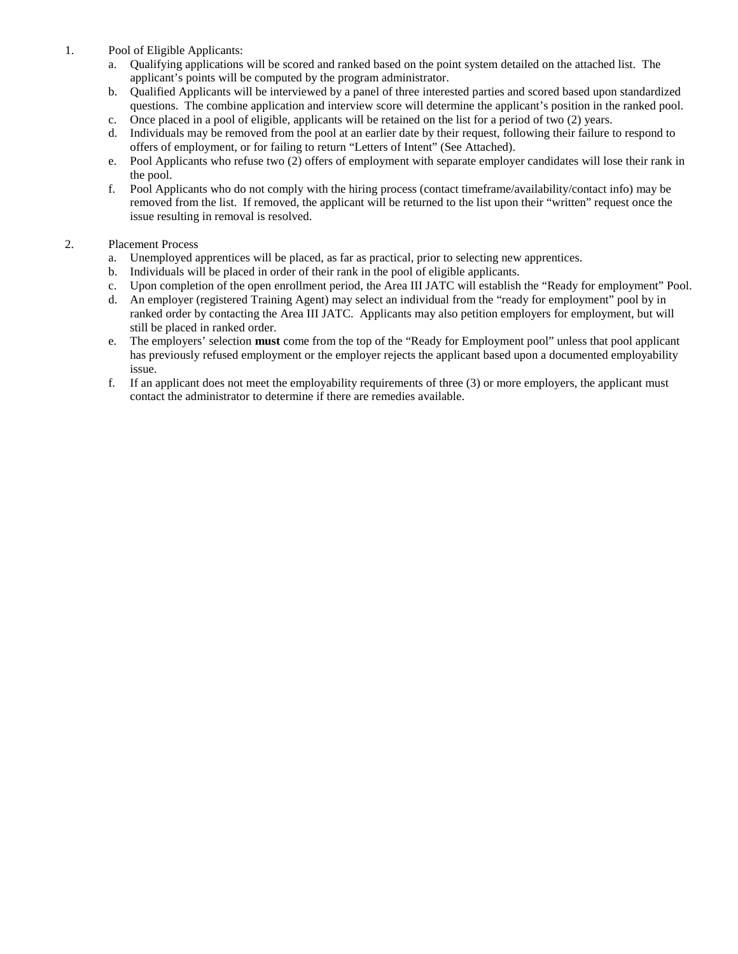- 1. Pool of Eligible Applicants:
	- a. Qualifying applications will be scored and ranked based on the point system detailed on the attached list. The applicant's points will be computed by the program administrator.
	- b. Qualified Applicants will be interviewed by a panel of three interested parties and scored based upon standardized questions. The combine application and interview score will determine the applicant's position in the ranked pool.
	- c. Once placed in a pool of eligible, applicants will be retained on the list for a period of two (2) years.
	- d. Individuals may be removed from the pool at an earlier date by their request, following their failure to respond to offers of employment, or for failing to return "Letters of Intent" (See Attached).
	- e. Pool Applicants who refuse two (2) offers of employment with separate employer candidates will lose their rank in the pool.
	- f. Pool Applicants who do not comply with the hiring process (contact timeframe/availability/contact info) may be removed from the list. If removed, the applicant will be returned to the list upon their "written" request once the issue resulting in removal is resolved.

#### 2. Placement Process

- a. Unemployed apprentices will be placed, as far as practical, prior to selecting new apprentices.
- b. Individuals will be placed in order of their rank in the pool of eligible applicants.
- c. Upon completion of the open enrollment period, the Area III JATC will establish the "Ready for employment" Pool.
- d. An employer (registered Training Agent) may select an individual from the "ready for employment" pool by in ranked order by contacting the Area III JATC. Applicants may also petition employers for employment, but will still be placed in ranked order.
- e. The employers' selection **must** come from the top of the "Ready for Employment pool" unless that pool applicant has previously refused employment or the employer rejects the applicant based upon a documented employability issue.
- f. If an applicant does not meet the employability requirements of three (3) or more employers, the applicant must contact the administrator to determine if there are remedies available.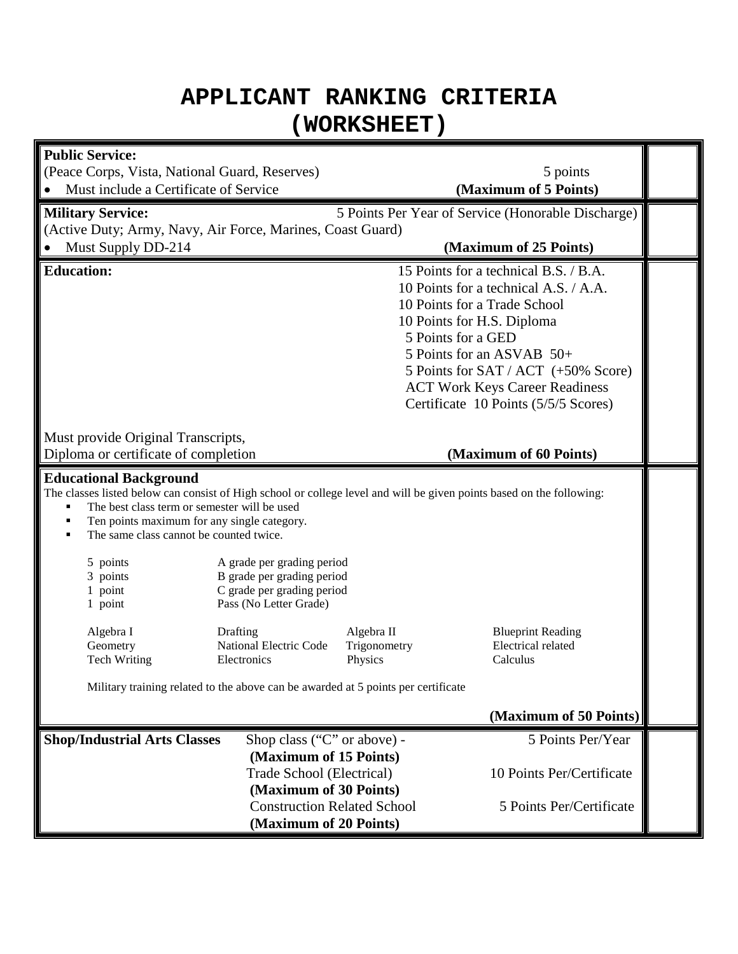# **APPLICANT RANKING CRITERIA (WORKSHEET)**

| <b>Public Service:</b>                                                                                                                                                                                                                                                                                                                                                                                                                                                                                                                                                                                                      |                                                                                                              |                       |                                                                                                                                                                                                                                                                                                                                                   |  |  |  |
|-----------------------------------------------------------------------------------------------------------------------------------------------------------------------------------------------------------------------------------------------------------------------------------------------------------------------------------------------------------------------------------------------------------------------------------------------------------------------------------------------------------------------------------------------------------------------------------------------------------------------------|--------------------------------------------------------------------------------------------------------------|-----------------------|---------------------------------------------------------------------------------------------------------------------------------------------------------------------------------------------------------------------------------------------------------------------------------------------------------------------------------------------------|--|--|--|
| (Peace Corps, Vista, National Guard, Reserves)                                                                                                                                                                                                                                                                                                                                                                                                                                                                                                                                                                              |                                                                                                              |                       | 5 points                                                                                                                                                                                                                                                                                                                                          |  |  |  |
| Must include a Certificate of Service                                                                                                                                                                                                                                                                                                                                                                                                                                                                                                                                                                                       |                                                                                                              | (Maximum of 5 Points) |                                                                                                                                                                                                                                                                                                                                                   |  |  |  |
| <b>Military Service:</b>                                                                                                                                                                                                                                                                                                                                                                                                                                                                                                                                                                                                    |                                                                                                              |                       | 5 Points Per Year of Service (Honorable Discharge)                                                                                                                                                                                                                                                                                                |  |  |  |
| (Active Duty; Army, Navy, Air Force, Marines, Coast Guard)                                                                                                                                                                                                                                                                                                                                                                                                                                                                                                                                                                  |                                                                                                              |                       |                                                                                                                                                                                                                                                                                                                                                   |  |  |  |
| Must Supply DD-214                                                                                                                                                                                                                                                                                                                                                                                                                                                                                                                                                                                                          |                                                                                                              |                       | (Maximum of 25 Points)                                                                                                                                                                                                                                                                                                                            |  |  |  |
| <b>Education:</b><br>Must provide Original Transcripts,<br>Diploma or certificate of completion                                                                                                                                                                                                                                                                                                                                                                                                                                                                                                                             |                                                                                                              |                       | 15 Points for a technical B.S. / B.A.<br>10 Points for a technical A.S. / A.A.<br>10 Points for a Trade School<br>10 Points for H.S. Diploma<br>5 Points for a GED<br>5 Points for an ASVAB 50+<br>5 Points for SAT / ACT (+50% Score)<br><b>ACT Work Keys Career Readiness</b><br>Certificate 10 Points (5/5/5 Scores)<br>(Maximum of 60 Points) |  |  |  |
|                                                                                                                                                                                                                                                                                                                                                                                                                                                                                                                                                                                                                             |                                                                                                              |                       |                                                                                                                                                                                                                                                                                                                                                   |  |  |  |
| <b>Educational Background</b><br>The classes listed below can consist of High school or college level and will be given points based on the following:<br>The best class term or semester will be used<br>Ten points maximum for any single category.<br>Е<br>The same class cannot be counted twice.<br>п<br>5 points<br>A grade per grading period<br>3 points<br>B grade per grading period<br>C grade per grading period<br>1 point<br>Pass (No Letter Grade)<br>1 point<br>Algebra I<br>Drafting<br>Algebra II<br><b>Blueprint Reading</b><br>National Electric Code<br>Geometry<br>Trigonometry<br>Electrical related |                                                                                                              |                       |                                                                                                                                                                                                                                                                                                                                                   |  |  |  |
| <b>Tech Writing</b>                                                                                                                                                                                                                                                                                                                                                                                                                                                                                                                                                                                                         | Electronics                                                                                                  | Physics               | Calculus                                                                                                                                                                                                                                                                                                                                          |  |  |  |
| Military training related to the above can be awarded at 5 points per certificate                                                                                                                                                                                                                                                                                                                                                                                                                                                                                                                                           |                                                                                                              |                       |                                                                                                                                                                                                                                                                                                                                                   |  |  |  |
|                                                                                                                                                                                                                                                                                                                                                                                                                                                                                                                                                                                                                             |                                                                                                              |                       | (Maximum of 50 Points)                                                                                                                                                                                                                                                                                                                            |  |  |  |
| <b>Shop/Industrial Arts Classes</b>                                                                                                                                                                                                                                                                                                                                                                                                                                                                                                                                                                                         | Shop class ("C" or above) -<br>(Maximum of 15 Points)<br>Trade School (Electrical)<br>(Maximum of 30 Points) |                       | 5 Points Per/Year<br>10 Points Per/Certificate                                                                                                                                                                                                                                                                                                    |  |  |  |
| <b>Construction Related School</b><br>5 Points Per/Certificate<br>(Maximum of 20 Points)                                                                                                                                                                                                                                                                                                                                                                                                                                                                                                                                    |                                                                                                              |                       |                                                                                                                                                                                                                                                                                                                                                   |  |  |  |